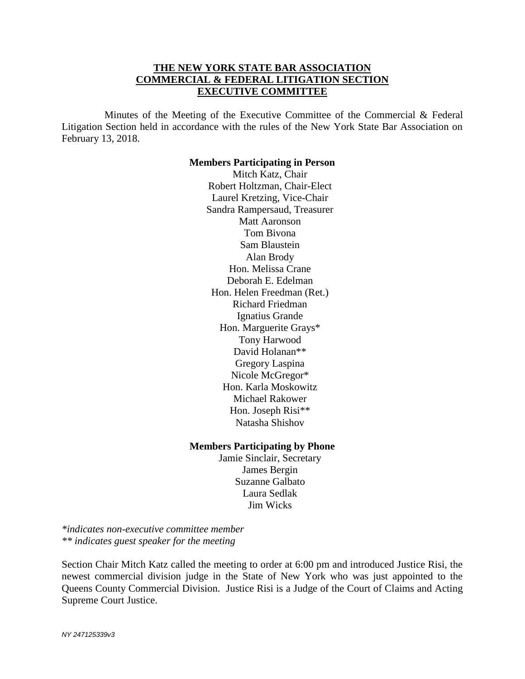# **THE NEW YORK STATE BAR ASSOCIATION COMMERCIAL & FEDERAL LITIGATION SECTION EXECUTIVE COMMITTEE**

Minutes of the Meeting of the Executive Committee of the Commercial  $\&$  Federal Litigation Section held in accordance with the rules of the New York State Bar Association on February 13, 2018.

#### **Members Participating in Person**

Mitch Katz, Chair Robert Holtzman, Chair-Elect Laurel Kretzing, Vice-Chair Sandra Rampersaud, Treasurer Matt Aaronson Tom Bivona Sam Blaustein Alan Brody Hon. Melissa Crane Deborah E. Edelman Hon. Helen Freedman (Ret.) Richard Friedman Ignatius Grande Hon. Marguerite Grays\* Tony Harwood David Holanan\*\* Gregory Laspina Nicole McGregor\* Hon. Karla Moskowitz Michael Rakower Hon. Joseph Risi\*\* Natasha Shishov

#### **Members Participating by Phone**

Jamie Sinclair, Secretary James Bergin Suzanne Galbato Laura Sedlak Jim Wicks

*\*indicates non-executive committee member \*\* indicates guest speaker for the meeting* 

Section Chair Mitch Katz called the meeting to order at 6:00 pm and introduced Justice Risi, the newest commercial division judge in the State of New York who was just appointed to the Queens County Commercial Division. Justice Risi is a Judge of the Court of Claims and Acting Supreme Court Justice.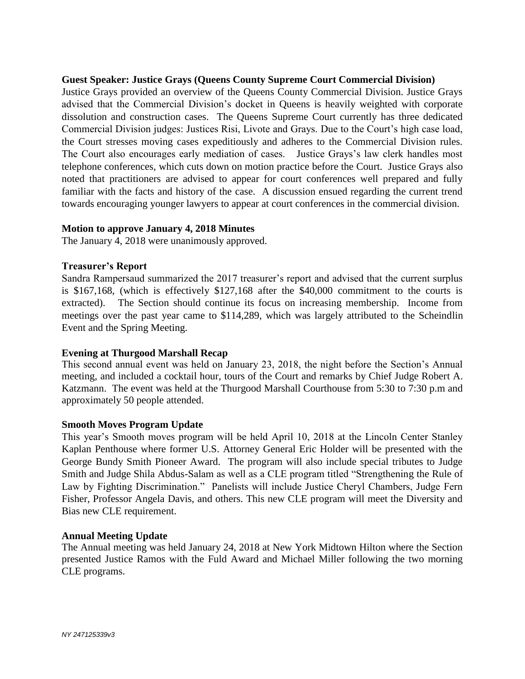## **Guest Speaker: Justice Grays (Queens County Supreme Court Commercial Division)**

Justice Grays provided an overview of the Queens County Commercial Division. Justice Grays advised that the Commercial Division's docket in Queens is heavily weighted with corporate dissolution and construction cases. The Queens Supreme Court currently has three dedicated Commercial Division judges: Justices Risi, Livote and Grays. Due to the Court's high case load, the Court stresses moving cases expeditiously and adheres to the Commercial Division rules. The Court also encourages early mediation of cases. Justice Grays's law clerk handles most telephone conferences, which cuts down on motion practice before the Court. Justice Grays also noted that practitioners are advised to appear for court conferences well prepared and fully familiar with the facts and history of the case. A discussion ensued regarding the current trend towards encouraging younger lawyers to appear at court conferences in the commercial division.

### **Motion to approve January 4, 2018 Minutes**

The January 4, 2018 were unanimously approved.

### **Treasurer's Report**

Sandra Rampersaud summarized the 2017 treasurer's report and advised that the current surplus is \$167,168, (which is effectively \$127,168 after the \$40,000 commitment to the courts is extracted). The Section should continue its focus on increasing membership. Income from meetings over the past year came to \$114,289, which was largely attributed to the Scheindlin Event and the Spring Meeting.

### **Evening at Thurgood Marshall Recap**

This second annual event was held on January 23, 2018, the night before the Section's Annual meeting, and included a cocktail hour, tours of the Court and remarks by Chief Judge Robert A. Katzmann. The event was held at the Thurgood Marshall Courthouse from 5:30 to 7:30 p.m and approximately 50 people attended.

### **Smooth Moves Program Update**

This year's Smooth moves program will be held April 10, 2018 at the Lincoln Center Stanley Kaplan Penthouse where former U.S. Attorney General Eric Holder will be presented with the George Bundy Smith Pioneer Award. The program will also include special tributes to Judge Smith and Judge Shila Abdus-Salam as well as a CLE program titled "Strengthening the Rule of Law by Fighting Discrimination." Panelists will include Justice Cheryl Chambers, Judge Fern Fisher, Professor Angela Davis, and others. This new CLE program will meet the Diversity and Bias new CLE requirement.

### **Annual Meeting Update**

The Annual meeting was held January 24, 2018 at New York Midtown Hilton where the Section presented Justice Ramos with the Fuld Award and Michael Miller following the two morning CLE programs.